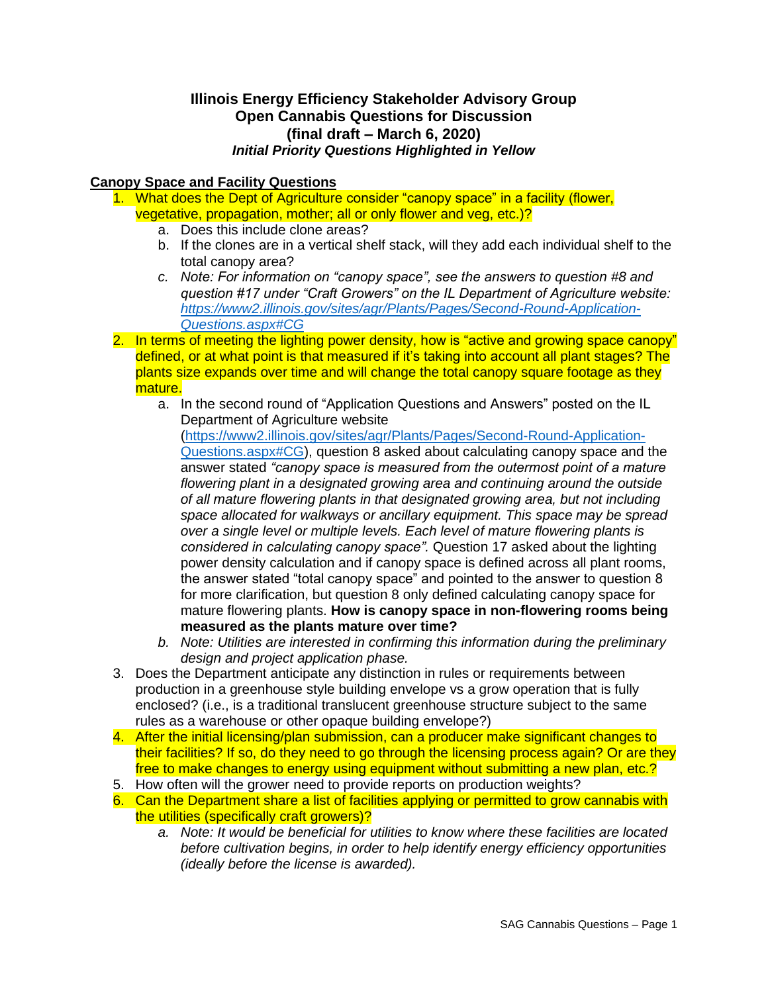## **Illinois Energy Efficiency Stakeholder Advisory Group Open Cannabis Questions for Discussion (final draft – March 6, 2020)** *Initial Priority Questions Highlighted in Yellow*

## **Canopy Space and Facility Questions**

- 1. What does the Dept of Agriculture consider "canopy space" in a facility (flower, vegetative, propagation, mother; all or only flower and veg, etc.)?
	- a. Does this include clone areas?
	- b. If the clones are in a vertical shelf stack, will they add each individual shelf to the total canopy area?
	- *c. Note: For information on "canopy space", see the answers to question #8 and question #17 under "Craft Growers" on the IL Department of Agriculture website: [https://www2.illinois.gov/sites/agr/Plants/Pages/Second-Round-Application-](https://www2.illinois.gov/sites/agr/Plants/Pages/Second-Round-Application-Questions.aspx#CG)[Questions.aspx#CG](https://www2.illinois.gov/sites/agr/Plants/Pages/Second-Round-Application-Questions.aspx#CG)*
- 2. In terms of meeting the lighting power density, how is "active and growing space canopy" defined, or at what point is that measured if it's taking into account all plant stages? The plants size expands over time and will change the total canopy square footage as they mature.
	- a. In the second round of "Application Questions and Answers" posted on the IL Department of Agriculture website

[\(https://www2.illinois.gov/sites/agr/Plants/Pages/Second-Round-Application-](https://www2.illinois.gov/sites/agr/Plants/Pages/Second-Round-Application-Questions.aspx#CG)[Questions.aspx#CG\)](https://www2.illinois.gov/sites/agr/Plants/Pages/Second-Round-Application-Questions.aspx#CG), question 8 asked about calculating canopy space and the answer stated *"canopy space is measured from the outermost point of a mature flowering plant in a designated growing area and continuing around the outside of all mature flowering plants in that designated growing area, but not including space allocated for walkways or ancillary equipment. This space may be spread over a single level or multiple levels. Each level of mature flowering plants is considered in calculating canopy space".* Question 17 asked about the lighting power density calculation and if canopy space is defined across all plant rooms, the answer stated "total canopy space" and pointed to the answer to question 8 for more clarification, but question 8 only defined calculating canopy space for mature flowering plants. **How is canopy space in non-flowering rooms being measured as the plants mature over time?**

- *b. Note: Utilities are interested in confirming this information during the preliminary design and project application phase.*
- 3. Does the Department anticipate any distinction in rules or requirements between production in a greenhouse style building envelope vs a grow operation that is fully enclosed? (i.e., is a traditional translucent greenhouse structure subject to the same rules as a warehouse or other opaque building envelope?)
- 4. After the initial licensing/plan submission, can a producer make significant changes to their facilities? If so, do they need to go through the licensing process again? Or are they free to make changes to energy using equipment without submitting a new plan, etc.?
- 5. How often will the grower need to provide reports on production weights?
- 6. Can the Department share a list of facilities applying or permitted to grow cannabis with the utilities (specifically craft growers)?
	- *a. Note: It would be beneficial for utilities to know where these facilities are located before cultivation begins, in order to help identify energy efficiency opportunities (ideally before the license is awarded).*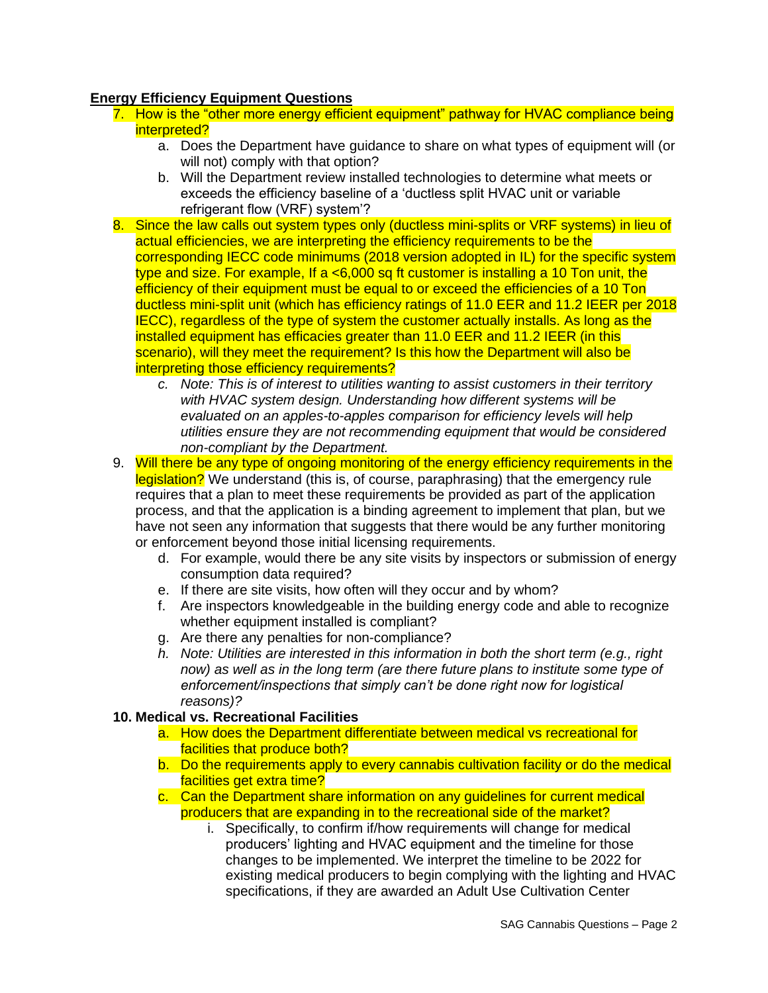## **Energy Efficiency Equipment Questions**

- 7. How is the "other more energy efficient equipment" pathway for HVAC compliance being interpreted?
	- a. Does the Department have guidance to share on what types of equipment will (or will not) comply with that option?
	- b. Will the Department review installed technologies to determine what meets or exceeds the efficiency baseline of a 'ductless split HVAC unit or variable refrigerant flow (VRF) system'?
- 8. Since the law calls out system types only (ductless mini-splits or VRF systems) in lieu of actual efficiencies, we are interpreting the efficiency requirements to be the corresponding IECC code minimums (2018 version adopted in IL) for the specific system type and size. For example, If a  $< 6,000$  sq ft customer is installing a 10 Ton unit, the efficiency of their equipment must be equal to or exceed the efficiencies of a 10 Ton ductless mini-split unit (which has efficiency ratings of 11.0 EER and 11.2 IEER per 2018 IECC), regardless of the type of system the customer actually installs. As long as the installed equipment has efficacies greater than 11.0 EER and 11.2 IEER (in this scenario), will they meet the requirement? Is this how the Department will also be interpreting those efficiency requirements?
	- *c. Note: This is of interest to utilities wanting to assist customers in their territory with HVAC system design. Understanding how different systems will be evaluated on an apples-to-apples comparison for efficiency levels will help utilities ensure they are not recommending equipment that would be considered non-compliant by the Department.*
- 9. Will there be any type of ongoing monitoring of the energy efficiency requirements in the legislation? We understand (this is, of course, paraphrasing) that the emergency rule requires that a plan to meet these requirements be provided as part of the application process, and that the application is a binding agreement to implement that plan, but we have not seen any information that suggests that there would be any further monitoring or enforcement beyond those initial licensing requirements.
	- d. For example, would there be any site visits by inspectors or submission of energy consumption data required?
	- e. If there are site visits, how often will they occur and by whom?
	- f. Are inspectors knowledgeable in the building energy code and able to recognize whether equipment installed is compliant?
	- g. Are there any penalties for non-compliance?
	- *h. Note: Utilities are interested in this information in both the short term (e.g., right*  now) as well as in the long term (are there future plans to institute some type of *enforcement/inspections that simply can't be done right now for logistical reasons)?*

## **10. Medical vs. Recreational Facilities**

- a. How does the Department differentiate between medical vs recreational for facilities that produce both?
- b. Do the requirements apply to every cannabis cultivation facility or do the medical facilities get extra time?
- c. Can the Department share information on any guidelines for current medical producers that are expanding in to the recreational side of the market?
	- i. Specifically, to confirm if/how requirements will change for medical producers' lighting and HVAC equipment and the timeline for those changes to be implemented. We interpret the timeline to be 2022 for existing medical producers to begin complying with the lighting and HVAC specifications, if they are awarded an Adult Use Cultivation Center